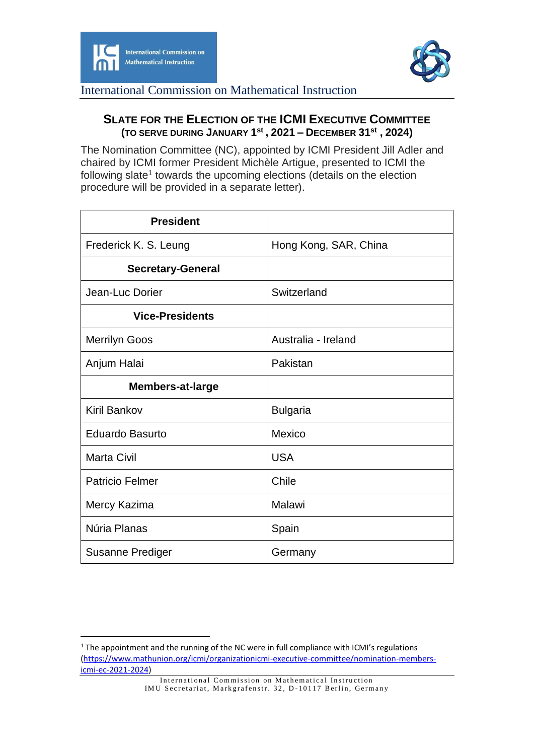

-



International Commission on Mathematical Instruction

## **SLATE FOR THE ELECTION OF THE ICMI EXECUTIVE COMMITTEE (TO SERVE DURING JANUARY 1 st , 2021 – DECEMBER 31st , 2024)**

The Nomination Committee (NC), appointed by ICMI President Jill Adler and chaired by ICMI former President Michèle Artigue, presented to ICMI the following slate<sup>1</sup> towards the upcoming elections (details on the election procedure will be provided in a separate letter).

| <b>President</b>         |                       |
|--------------------------|-----------------------|
| Frederick K. S. Leung    | Hong Kong, SAR, China |
| <b>Secretary-General</b> |                       |
| Jean-Luc Dorier          | Switzerland           |
| <b>Vice-Presidents</b>   |                       |
| <b>Merrilyn Goos</b>     | Australia - Ireland   |
| Anjum Halai              | Pakistan              |
| <b>Members-at-large</b>  |                       |
| <b>Kiril Bankov</b>      | <b>Bulgaria</b>       |
| <b>Eduardo Basurto</b>   | Mexico                |
| <b>Marta Civil</b>       | <b>USA</b>            |
| <b>Patricio Felmer</b>   | Chile                 |
| Mercy Kazima             | Malawi                |
| Núria Planas             | Spain                 |
| <b>Susanne Prediger</b>  | Germany               |

<sup>&</sup>lt;sup>1</sup> The appointment and the running of the NC were in full compliance with ICMI's regulations [\(https://www.mathunion.org/icmi/organizationicmi-executive-committee/nomination-members](https://www.mathunion.org/icmi/organizationicmi-executive-committee/nomination-members-icmi-ec-2021-2024)[icmi-ec-2021-2024\)](https://www.mathunion.org/icmi/organizationicmi-executive-committee/nomination-members-icmi-ec-2021-2024)

International Commission on Mathematical Instruction IMU Secretariat, Markgrafenstr. 32, D-10117 Berlin, Germany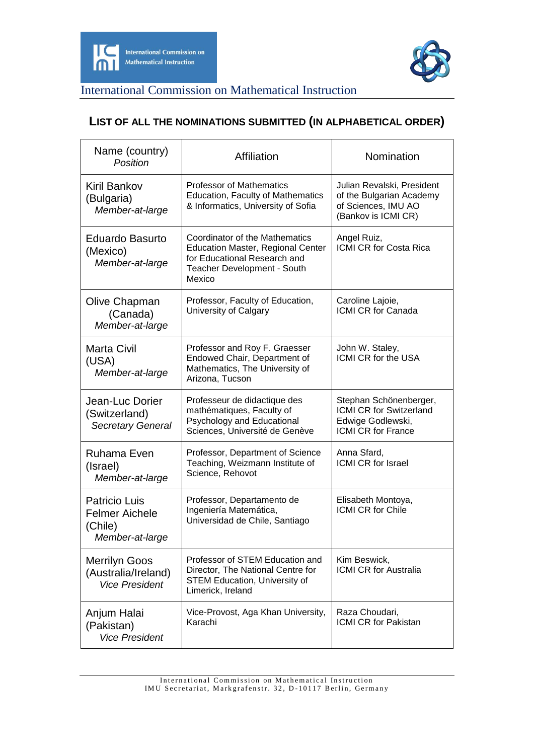



International Commission on Mathematical Instruction

## **LIST OF ALL THE NOMINATIONS SUBMITTED (IN ALPHABETICAL ORDER)**

| Name (country)<br>Position                                                  | Affiliation                                                                                                                                         | Nomination                                                                                           |
|-----------------------------------------------------------------------------|-----------------------------------------------------------------------------------------------------------------------------------------------------|------------------------------------------------------------------------------------------------------|
| <b>Kiril Bankov</b><br>(Bulgaria)<br>Member-at-large                        | <b>Professor of Mathematics</b><br><b>Education, Faculty of Mathematics</b><br>& Informatics, University of Sofia                                   | Julian Revalski, President<br>of the Bulgarian Academy<br>of Sciences, IMU AO<br>(Bankov is ICMI CR) |
| <b>Eduardo Basurto</b><br>(Mexico)<br>Member-at-large                       | Coordinator of the Mathematics<br><b>Education Master, Regional Center</b><br>for Educational Research and<br>Teacher Development - South<br>Mexico | Angel Ruiz,<br><b>ICMI CR for Costa Rica</b>                                                         |
| Olive Chapman<br>(Canada)<br>Member-at-large                                | Professor, Faculty of Education,<br>University of Calgary                                                                                           | Caroline Lajoie,<br>ICMI CR for Canada                                                               |
| <b>Marta Civil</b><br>(USA)<br>Member-at-large                              | Professor and Roy F. Graesser<br>Endowed Chair, Department of<br>Mathematics, The University of<br>Arizona, Tucson                                  | John W. Staley,<br><b>ICMI CR for the USA</b>                                                        |
| Jean-Luc Dorier<br>(Switzerland)<br><b>Secretary General</b>                | Professeur de didactique des<br>mathématiques, Faculty of<br>Psychology and Educational<br>Sciences, Université de Genève                           | Stephan Schönenberger,<br>ICMI CR for Switzerland<br>Edwige Godlewski,<br>ICMI CR for France         |
| Ruhama Even<br>(Israel)<br>Member-at-large                                  | Professor, Department of Science<br>Teaching, Weizmann Institute of<br>Science, Rehovot                                                             | Anna Sfard,<br>ICMI CR for Israel                                                                    |
| <b>Patricio Luis</b><br><b>Felmer Aichele</b><br>(Chile)<br>Member-at-large | Professor, Departamento de<br>Ingeniería Matemática,<br>Universidad de Chile, Santiago                                                              | Elisabeth Montoya,<br><b>ICMI CR for Chile</b>                                                       |
| <b>Merrilyn Goos</b><br>(Australia/Ireland)<br><b>Vice President</b>        | Professor of STEM Education and<br>Director, The National Centre for<br><b>STEM Education, University of</b><br>Limerick, Ireland                   | Kim Beswick,<br><b>ICMI CR for Australia</b>                                                         |
| Anjum Halai<br>(Pakistan)<br><b>Vice President</b>                          | Vice-Provost, Aga Khan University,<br>Karachi                                                                                                       | Raza Choudari,<br><b>ICMI CR for Pakistan</b>                                                        |